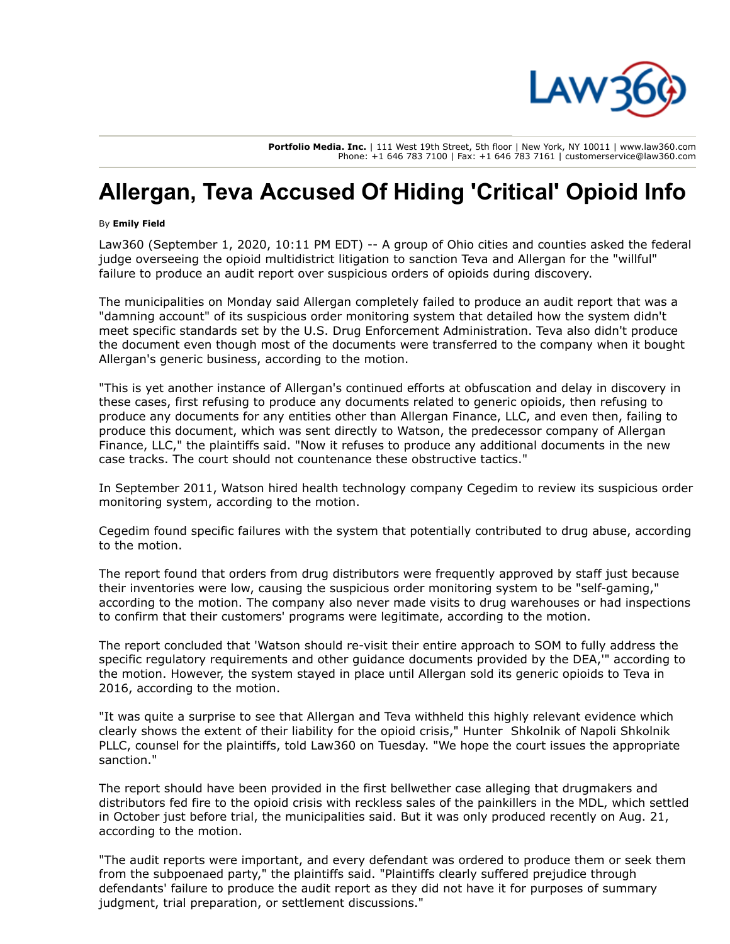

**Portfolio Media. Inc.** | 111 West 19th Street, 5th floor | New York, NY 10011 | www.law360.com Phone: +1 646 783 7100 | Fax: +1 646 783 7161 | customerservice@law360.com

## **Allergan, Teva Accused Of Hiding 'Critical' Opioid Info**

## By **Emily Field**

Law360 (September 1, 2020, 10:11 PM EDT) -- A group of Ohio cities and counties asked the federal judge overseeing the opioid multidistrict litigation to sanction Teva and [Allergan](https://www.law360.com/companies/allergan-plc) for the "willful" failure to produce an audit report over suspicious orders of opioids during discovery.

The municipalities on Monday said Allergan completely failed to produce an audit report that was a "damning account" of its suspicious order monitoring system that detailed how the system didn't meet specific standards set by the [U.S. Drug Enforcement Administration](https://www.law360.com/agencies/u-s-drug-enforcement-administration). Teva also didn't produce the document even though most of the documents were transferred to the company when it bought Allergan's generic business, according to the motion.

"This is yet another instance of Allergan's continued efforts at obfuscation and delay in discovery in these cases, first refusing to produce any documents related to generic opioids, then refusing to produce any documents for any entities other than Allergan Finance, LLC, and even then, failing to produce this document, which was sent directly to Watson, the predecessor company of Allergan Finance, LLC," the plaintiffs said. "Now it refuses to produce any additional documents in the new case tracks. The court should not countenance these obstructive tactics."

In September 2011, Watson hired health technology company Cegedim to review its suspicious order monitoring system, according to the motion.

Cegedim found specific failures with the system that potentially contributed to drug abuse, according to the motion.

The report found that orders from drug distributors were frequently approved by staff just because their inventories were low, causing the suspicious order monitoring system to be "self-gaming," according to the motion. The company also never made visits to drug warehouses or had inspections to confirm that their customers' programs were legitimate, according to the motion.

The report concluded that 'Watson should re-visit their entire approach to SOM to fully address the specific regulatory requirements and other guidance documents provided by the DEA,'" according to the motion. However, the system stayed in place until Allergan sold its generic opioids to Teva in 2016, according to the motion.

"It was quite a surprise to see that Allergan and Teva withheld this highly relevant evidence which [clearly shows the extent of their liability for the opioid crisis," Hunter Shkolnik of Napoli Shkolnik](https://www.law360.com/firms/napoli-shkolnik) PLLC, counsel for the plaintiffs, told Law360 on Tuesday. "We hope the court issues the appropriate sanction."

The report should have been provided in the first bellwether case alleging that drugmakers and distributors fed fire to the opioid crisis with reckless sales of the painkillers in the MDL, which settled in October just before trial, the municipalities said. But it was only produced recently on Aug. 21, according to the motion.

"The audit reports were important, and every defendant was ordered to produce them or seek them from the subpoenaed party," the plaintiffs said. "Plaintiffs clearly suffered prejudice through defendants' failure to produce the audit report as they did not have it for purposes of summary judgment, trial preparation, or settlement discussions."